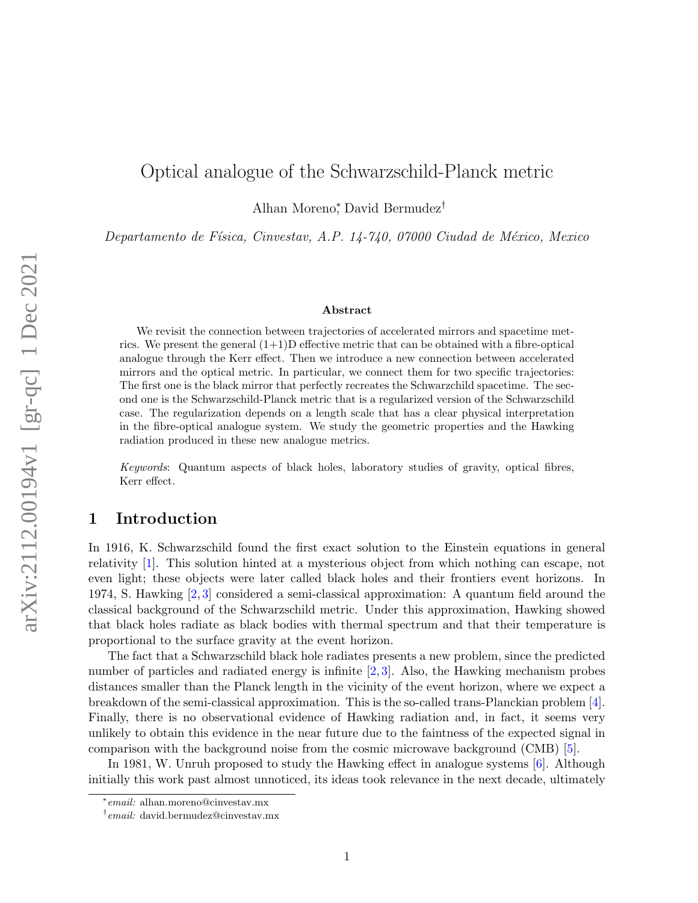# Optical analogue of the Schwarzschild-Planck metric

Alhan Moreno<sup>∗</sup> , David Bermudez†

Departamento de Física, Cinvestav, A.P. 14-740, 07000 Ciudad de México, Mexico

#### Abstract

We revisit the connection between trajectories of accelerated mirrors and spacetime metrics. We present the general  $(1+1)$ D effective metric that can be obtained with a fibre-optical analogue through the Kerr effect. Then we introduce a new connection between accelerated mirrors and the optical metric. In particular, we connect them for two specific trajectories: The first one is the black mirror that perfectly recreates the Schwarzchild spacetime. The second one is the Schwarzschild-Planck metric that is a regularized version of the Schwarzschild case. The regularization depends on a length scale that has a clear physical interpretation in the fibre-optical analogue system. We study the geometric properties and the Hawking radiation produced in these new analogue metrics.

Keywords: Quantum aspects of black holes, laboratory studies of gravity, optical fibres, Kerr effect.

### 1 Introduction

In 1916, K. Schwarzschild found the first exact solution to the Einstein equations in general relativity [\[1\]](#page-12-0). This solution hinted at a mysterious object from which nothing can escape, not even light; these objects were later called black holes and their frontiers event horizons. In 1974, S. Hawking [\[2,](#page-12-1) [3\]](#page-12-2) considered a semi-classical approximation: A quantum field around the classical background of the Schwarzschild metric. Under this approximation, Hawking showed that black holes radiate as black bodies with thermal spectrum and that their temperature is proportional to the surface gravity at the event horizon.

The fact that a Schwarzschild black hole radiates presents a new problem, since the predicted number of particles and radiated energy is infinite [\[2,](#page-12-1)[3\]](#page-12-2). Also, the Hawking mechanism probes distances smaller than the Planck length in the vicinity of the event horizon, where we expect a breakdown of the semi-classical approximation. This is the so-called trans-Planckian problem [\[4\]](#page-12-3). Finally, there is no observational evidence of Hawking radiation and, in fact, it seems very unlikely to obtain this evidence in the near future due to the faintness of the expected signal in comparison with the background noise from the cosmic microwave background (CMB) [\[5\]](#page-12-4).

In 1981, W. Unruh proposed to study the Hawking effect in analogue systems [\[6\]](#page-12-5). Although initially this work past almost unnoticed, its ideas took relevance in the next decade, ultimately

<sup>∗</sup> email: alhan.moreno@cinvestav.mx

<sup>†</sup> email: david.bermudez@cinvestav.mx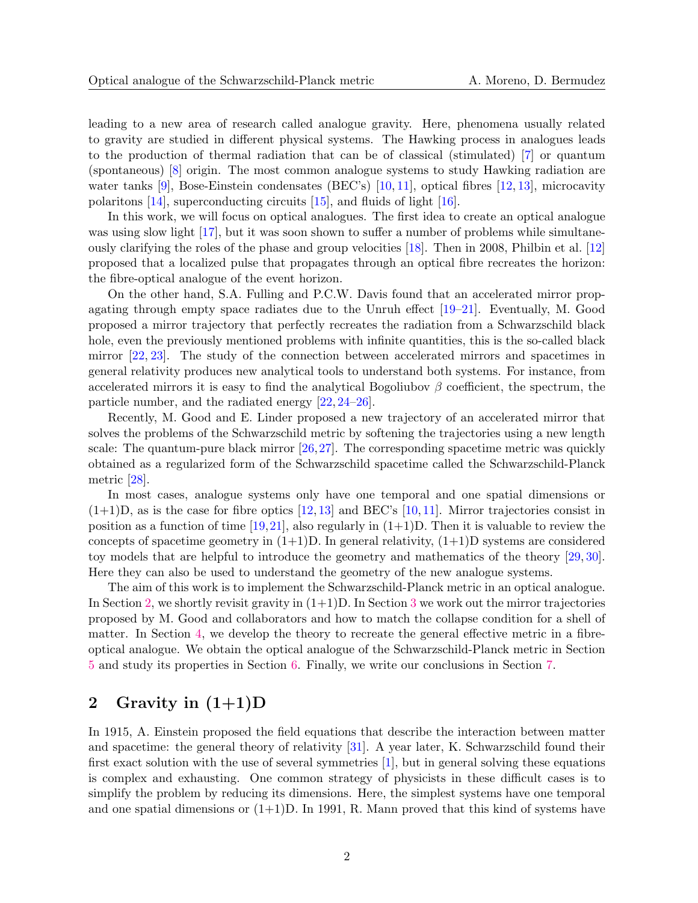leading to a new area of research called analogue gravity. Here, phenomena usually related to gravity are studied in different physical systems. The Hawking process in analogues leads to the production of thermal radiation that can be of classical (stimulated) [\[7\]](#page-12-6) or quantum (spontaneous) [\[8\]](#page-12-7) origin. The most common analogue systems to study Hawking radiation are water tanks [\[9\]](#page-12-8), Bose-Einstein condensates (BEC's) [\[10,](#page-12-9) [11\]](#page-12-10), optical fibres [\[12,](#page-12-11) [13\]](#page-13-0), microcavity polaritons [\[14\]](#page-13-1), superconducting circuits [\[15\]](#page-13-2), and fluids of light [\[16\]](#page-13-3).

In this work, we will focus on optical analogues. The first idea to create an optical analogue was using slow light [\[17\]](#page-13-4), but it was soon shown to suffer a number of problems while simultaneously clarifying the roles of the phase and group velocities [\[18\]](#page-13-5). Then in 2008, Philbin et al. [\[12\]](#page-12-11) proposed that a localized pulse that propagates through an optical fibre recreates the horizon: the fibre-optical analogue of the event horizon.

On the other hand, S.A. Fulling and P.C.W. Davis found that an accelerated mirror propagating through empty space radiates due to the Unruh effect [\[19–](#page-13-6)[21\]](#page-13-7). Eventually, M. Good proposed a mirror trajectory that perfectly recreates the radiation from a Schwarzschild black hole, even the previously mentioned problems with infinite quantities, this is the so-called black mirror [\[22,](#page-13-8) [23\]](#page-13-9). The study of the connection between accelerated mirrors and spacetimes in general relativity produces new analytical tools to understand both systems. For instance, from accelerated mirrors it is easy to find the analytical Bogoliubov  $\beta$  coefficient, the spectrum, the particle number, and the radiated energy [\[22,](#page-13-8) [24](#page-13-10)[–26\]](#page-13-11).

Recently, M. Good and E. Linder proposed a new trajectory of an accelerated mirror that solves the problems of the Schwarzschild metric by softening the trajectories using a new length scale: The quantum-pure black mirror  $[26,27]$  $[26,27]$ . The corresponding spacetime metric was quickly obtained as a regularized form of the Schwarzschild spacetime called the Schwarzschild-Planck metric [\[28\]](#page-13-13).

In most cases, analogue systems only have one temporal and one spatial dimensions or  $(1+1)D$ , as is the case for fibre optics  $[12, 13]$  $[12, 13]$  and BEC's  $[10, 11]$  $[10, 11]$ . Mirror trajectories consist in position as a function of time  $[19,21]$  $[19,21]$ , also regularly in  $(1+1)D$ . Then it is valuable to review the concepts of spacetime geometry in  $(1+1)D$ . In general relativity,  $(1+1)D$  systems are considered toy models that are helpful to introduce the geometry and mathematics of the theory [\[29,](#page-13-14) [30\]](#page-14-0). Here they can also be used to understand the geometry of the new analogue systems.

The aim of this work is to implement the Schwarzschild-Planck metric in an optical analogue. In Section [2,](#page-1-0) we shortly revisit gravity in  $(1+1)D$ . In Section [3](#page-3-0) we work out the mirror trajectories proposed by M. Good and collaborators and how to match the collapse condition for a shell of matter. In Section [4,](#page-6-0) we develop the theory to recreate the general effective metric in a fibreoptical analogue. We obtain the optical analogue of the Schwarzschild-Planck metric in Section [5](#page-7-0) and study its properties in Section [6.](#page-8-0) Finally, we write our conclusions in Section [7.](#page-11-0)

## <span id="page-1-0"></span>2 Gravity in  $(1+1)D$

In 1915, A. Einstein proposed the field equations that describe the interaction between matter and spacetime: the general theory of relativity [\[31\]](#page-14-1). A year later, K. Schwarzschild found their first exact solution with the use of several symmetries [\[1\]](#page-12-0), but in general solving these equations is complex and exhausting. One common strategy of physicists in these difficult cases is to simplify the problem by reducing its dimensions. Here, the simplest systems have one temporal and one spatial dimensions or  $(1+1)D$ . In 1991, R. Mann proved that this kind of systems have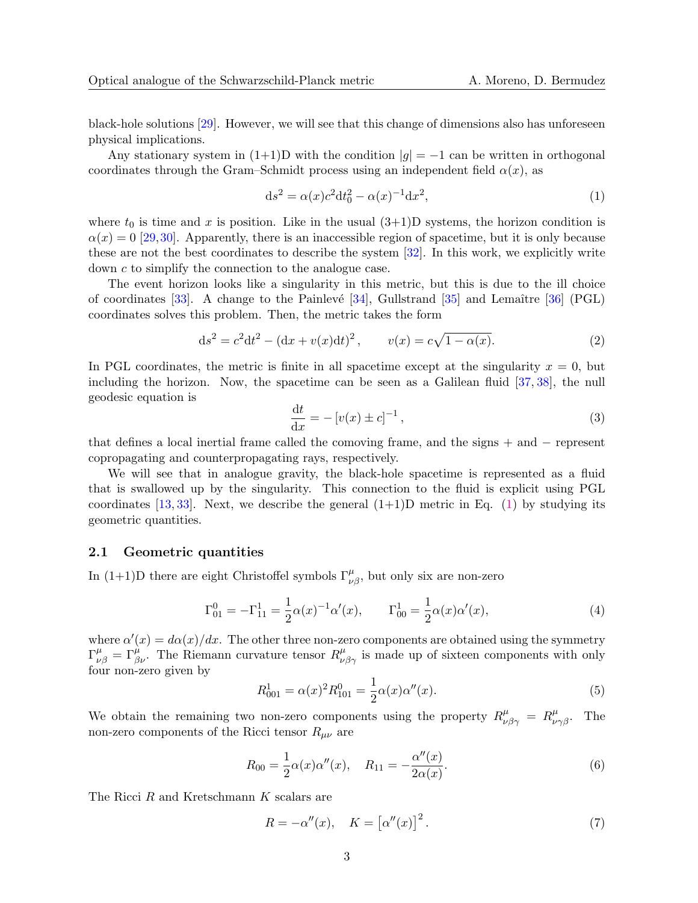black-hole solutions [\[29\]](#page-13-14). However, we will see that this change of dimensions also has unforeseen physical implications.

Any stationary system in  $(1+1)D$  with the condition  $|g| = -1$  can be written in orthogonal coordinates through the Gram–Schmidt process using an independent field  $\alpha(x)$ , as

<span id="page-2-0"></span>
$$
ds^{2} = \alpha(x)c^{2}dt_{0}^{2} - \alpha(x)^{-1}dx^{2},
$$
\n(1)

where  $t_0$  is time and x is position. Like in the usual  $(3+1)D$  systems, the horizon condition is  $\alpha(x) = 0$  [\[29,](#page-13-14)[30\]](#page-14-0). Apparently, there is an inaccessible region of spacetime, but it is only because these are not the best coordinates to describe the system [\[32\]](#page-14-2). In this work, we explicitly write down c to simplify the connection to the analogue case.

The event horizon looks like a singularity in this metric, but this is due to the ill choice of coordinates  $[33]$ . A change to the Painlevé  $[34]$ , Gullstrand  $[35]$  and Lemaître  $[36]$  (PGL) coordinates solves this problem. Then, the metric takes the form

<span id="page-2-1"></span>
$$
ds^{2} = c^{2}dt^{2} - (dx + v(x)dt)^{2}, \qquad v(x) = c\sqrt{1 - \alpha(x)}.
$$
 (2)

In PGL coordinates, the metric is finite in all spacetime except at the singularity  $x = 0$ , but including the horizon. Now, the spacetime can be seen as a Galilean fluid [\[37,](#page-14-7) [38\]](#page-14-8), the null geodesic equation is

<span id="page-2-2"></span>
$$
\frac{\mathrm{d}t}{\mathrm{d}x} = -\left[v(x) \pm c\right]^{-1},\tag{3}
$$

that defines a local inertial frame called the comoving frame, and the signs + and − represent copropagating and counterpropagating rays, respectively.

We will see that in analogue gravity, the black-hole spacetime is represented as a fluid that is swallowed up by the singularity. This connection to the fluid is explicit using PGL coordinates [\[13,](#page-13-0) [33\]](#page-14-3). Next, we describe the general  $(1+1)D$  metric in Eq. [\(1\)](#page-2-0) by studying its geometric quantities.

#### 2.1 Geometric quantities

In (1+1)D there are eight Christoffel symbols  $\Gamma^{\mu}_{\nu\beta}$ , but only six are non-zero

$$
\Gamma_{01}^{0} = -\Gamma_{11}^{1} = \frac{1}{2}\alpha(x)^{-1}\alpha'(x), \qquad \Gamma_{00}^{1} = \frac{1}{2}\alpha(x)\alpha'(x), \tag{4}
$$

where  $\alpha'(x) = d\alpha(x)/dx$ . The other three non-zero components are obtained using the symmetry  $\Gamma^{\mu}_{\nu\beta} = \Gamma^{\mu}_{\beta\nu}$ . The Riemann curvature tensor  $R^{\mu}_{\nu\beta\gamma}$  is made up of sixteen components with only four non-zero given by

$$
R_{001}^1 = \alpha(x)^2 R_{101}^0 = \frac{1}{2} \alpha(x) \alpha''(x).
$$
 (5)

We obtain the remaining two non-zero components using the property  $R^{\mu}_{\nu\beta\gamma} = R^{\mu}_{\nu\gamma\beta}$ . The non-zero components of the Ricci tensor  $R_{\mu\nu}$  are

$$
R_{00} = \frac{1}{2}\alpha(x)\alpha''(x), \quad R_{11} = -\frac{\alpha''(x)}{2\alpha(x)}.
$$
\n(6)

The Ricci R and Kretschmann K scalars are

$$
R = -\alpha''(x), \quad K = \left[\alpha''(x)\right]^2. \tag{7}
$$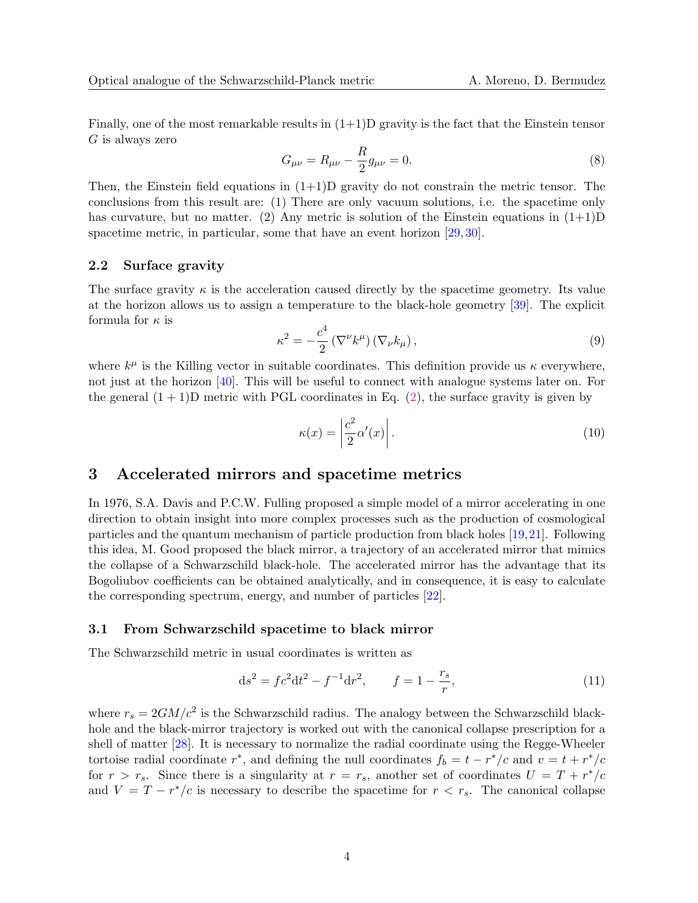Finally, one of the most remarkable results in  $(1+1)$ D gravity is the fact that the Einstein tensor  $G$  is always zero

<span id="page-3-3"></span>
$$
G_{\mu\nu} = R_{\mu\nu} - \frac{R}{2}g_{\mu\nu} = 0.
$$
\n(8)

Then, the Einstein field equations in  $(1+1)D$  gravity do not constrain the metric tensor. The conclusions from this result are: (1) There are only vacuum solutions, i.e. the spacetime only has curvature, but no matter. (2) Any metric is solution of the Einstein equations in  $(1+1)D$ spacetime metric, in particular, some that have an event horizon [\[29,](#page-13-14) [30\]](#page-14-0).

### 2.2 Surface gravity

The surface gravity  $\kappa$  is the acceleration caused directly by the spacetime geometry. Its value at the horizon allows us to assign a temperature to the black-hole geometry [\[39\]](#page-14-9). The explicit formula for  $\kappa$  is

$$
\kappa^2 = -\frac{c^4}{2} \left( \nabla^\nu k^\mu \right) \left( \nabla_\nu k_\mu \right),\tag{9}
$$

where  $k^{\mu}$  is the Killing vector in suitable coordinates. This definition provide us  $\kappa$  everywhere, not just at the horizon [\[40\]](#page-14-10). This will be useful to connect with analogue systems later on. For the general  $(1 + 1)$ D metric with PGL coordinates in Eq. [\(2\)](#page-2-1), the surface gravity is given by

<span id="page-3-2"></span>
$$
\kappa(x) = \left| \frac{c^2}{2} \alpha'(x) \right|.
$$
\n(10)

### <span id="page-3-0"></span>3 Accelerated mirrors and spacetime metrics

In 1976, S.A. Davis and P.C.W. Fulling proposed a simple model of a mirror accelerating in one direction to obtain insight into more complex processes such as the production of cosmological particles and the quantum mechanism of particle production from black holes [\[19,](#page-13-6)[21\]](#page-13-7). Following this idea, M. Good proposed the black mirror, a trajectory of an accelerated mirror that mimics the collapse of a Schwarzschild black-hole. The accelerated mirror has the advantage that its Bogoliubov coefficients can be obtained analytically, and in consequence, it is easy to calculate the corresponding spectrum, energy, and number of particles [\[22\]](#page-13-8).

#### <span id="page-3-1"></span>3.1 From Schwarzschild spacetime to black mirror

The Schwarzschild metric in usual coordinates is written as

$$
ds^{2} = fc^{2}dt^{2} - f^{-1}dr^{2}, \t f = 1 - \frac{r_{s}}{r}, \t (11)
$$

where  $r_s = 2GM/c^2$  is the Schwarzschild radius. The analogy between the Schwarzschild blackhole and the black-mirror trajectory is worked out with the canonical collapse prescription for a shell of matter [\[28\]](#page-13-13). It is necessary to normalize the radial coordinate using the Regge-Wheeler tortoise radial coordinate  $r^*$ , and defining the null coordinates  $f_b = t - r^*/c$  and  $v = t + r^*/c$ for  $r > r_s$ . Since there is a singularity at  $r = r_s$ , another set of coordinates  $U = T + r^*/c$ and  $V = T - r^*/c$  is necessary to describe the spacetime for  $r < r_s$ . The canonical collapse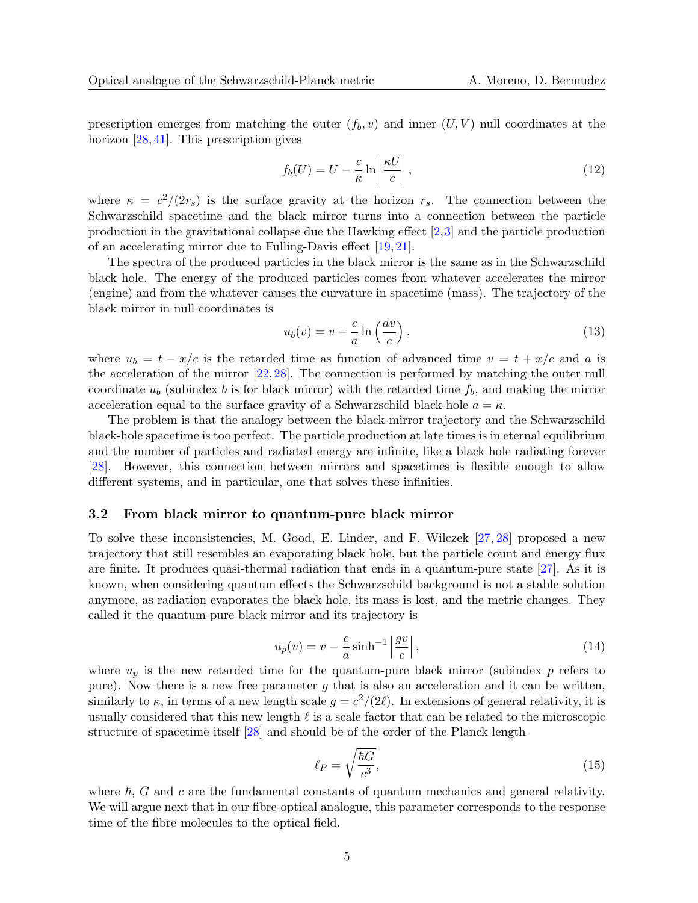prescription emerges from matching the outer  $(f_b, v)$  and inner  $(U, V)$  null coordinates at the horizon [\[28,](#page-13-13) [41\]](#page-14-11). This prescription gives

$$
f_b(U) = U - \frac{c}{\kappa} \ln \left| \frac{\kappa U}{c} \right|,\tag{12}
$$

where  $\kappa = c^2/(2r_s)$  is the surface gravity at the horizon  $r_s$ . The connection between the Schwarzschild spacetime and the black mirror turns into a connection between the particle production in the gravitational collapse due the Hawking effect [\[2,](#page-12-1)[3\]](#page-12-2) and the particle production of an accelerating mirror due to Fulling-Davis effect [\[19,](#page-13-6) [21\]](#page-13-7).

The spectra of the produced particles in the black mirror is the same as in the Schwarzschild black hole. The energy of the produced particles comes from whatever accelerates the mirror (engine) and from the whatever causes the curvature in spacetime (mass). The trajectory of the black mirror in null coordinates is

$$
u_b(v) = v - \frac{c}{a} \ln\left(\frac{av}{c}\right),\tag{13}
$$

where  $u_b = t - x/c$  is the retarded time as function of advanced time  $v = t + x/c$  and a is the acceleration of the mirror  $[22, 28]$  $[22, 28]$ . The connection is performed by matching the outer null coordinate  $u<sub>b</sub>$  (subindex b is for black mirror) with the retarded time  $f<sub>b</sub>$ , and making the mirror acceleration equal to the surface gravity of a Schwarzschild black-hole  $a = \kappa$ .

The problem is that the analogy between the black-mirror trajectory and the Schwarzschild black-hole spacetime is too perfect. The particle production at late times is in eternal equilibrium and the number of particles and radiated energy are infinite, like a black hole radiating forever [\[28\]](#page-13-13). However, this connection between mirrors and spacetimes is flexible enough to allow different systems, and in particular, one that solves these infinities.

#### 3.2 From black mirror to quantum-pure black mirror

To solve these inconsistencies, M. Good, E. Linder, and F. Wilczek [\[27,](#page-13-12) [28\]](#page-13-13) proposed a new trajectory that still resembles an evaporating black hole, but the particle count and energy flux are finite. It produces quasi-thermal radiation that ends in a quantum-pure state [\[27\]](#page-13-12). As it is known, when considering quantum effects the Schwarzschild background is not a stable solution anymore, as radiation evaporates the black hole, its mass is lost, and the metric changes. They called it the quantum-pure black mirror and its trajectory is

<span id="page-4-0"></span>
$$
u_p(v) = v - \frac{c}{a}\sinh^{-1}\left|\frac{gv}{c}\right|,\tag{14}
$$

where  $u_p$  is the new retarded time for the quantum-pure black mirror (subindex p refers to pure). Now there is a new free parameter  $g$  that is also an acceleration and it can be written, similarly to  $\kappa$ , in terms of a new length scale  $g = c^2/(2\ell)$ . In extensions of general relativity, it is usually considered that this new length  $\ell$  is a scale factor that can be related to the microscopic structure of spacetime itself [\[28\]](#page-13-13) and should be of the order of the Planck length

$$
\ell_P = \sqrt{\frac{\hbar G}{c^3}},\tag{15}
$$

where  $\hbar$ , G and c are the fundamental constants of quantum mechanics and general relativity. We will argue next that in our fibre-optical analogue, this parameter corresponds to the response time of the fibre molecules to the optical field.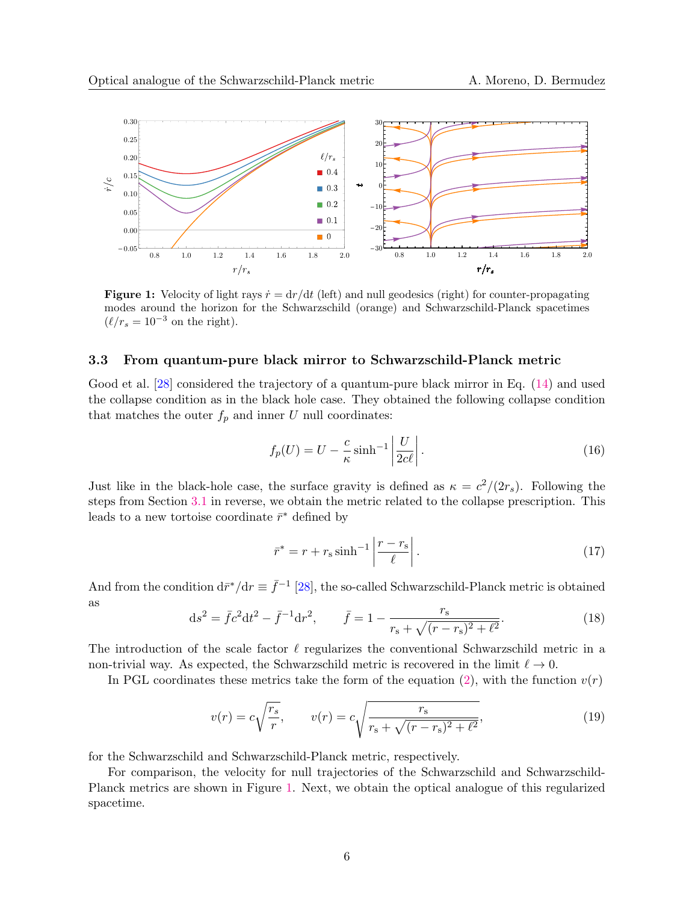<span id="page-5-0"></span>

**Figure 1:** Velocity of light rays  $\dot{r} = dr/dt$  (left) and null geodesics (right) for counter-propagating modes around the horizon for the Schwarzschild (orange) and Schwarzschild-Planck spacetimes  $(\ell/r_s = 10^{-3}$  on the right).

### 3.3 From quantum-pure black mirror to Schwarzschild-Planck metric

Good et al. [\[28\]](#page-13-13) considered the trajectory of a quantum-pure black mirror in Eq. [\(14\)](#page-4-0) and used the collapse condition as in the black hole case. They obtained the following collapse condition that matches the outer  $f_p$  and inner U null coordinates:

$$
f_p(U) = U - \frac{c}{\kappa} \sinh^{-1} \left| \frac{U}{2c\ell} \right|.
$$
 (16)

Just like in the black-hole case, the surface gravity is defined as  $\kappa = c^2/(2r_s)$ . Following the steps from Section [3.1](#page-3-1) in reverse, we obtain the metric related to the collapse prescription. This leads to a new tortoise coordinate  $\bar{r}^*$  defined by

$$
\bar{r}^* = r + r_s \sinh^{-1} \left| \frac{r - r_s}{\ell} \right|.
$$
\n(17)

And from the condition  $d\bar{r}^*/dr \equiv \bar{f}^{-1}$  [\[28\]](#page-13-13), the so-called Schwarzschild-Planck metric is obtained as

<span id="page-5-1"></span>
$$
ds^{2} = \bar{f}c^{2}dt^{2} - \bar{f}^{-1}dr^{2}, \qquad \bar{f} = 1 - \frac{r_{s}}{r_{s} + \sqrt{(r - r_{s})^{2} + \ell^{2}}}.
$$
\n(18)

The introduction of the scale factor  $\ell$  regularizes the conventional Schwarzschild metric in a non-trivial way. As expected, the Schwarzschild metric is recovered in the limit  $\ell \to 0$ .

In PGL coordinates these metrics take the form of the equation [\(2\)](#page-2-1), with the function  $v(r)$ 

$$
v(r) = c\sqrt{\frac{r_s}{r}}, \qquad v(r) = c\sqrt{\frac{r_s}{r_s + \sqrt{(r - r_s)^2 + \ell^2}}},\tag{19}
$$

for the Schwarzschild and Schwarzschild-Planck metric, respectively.

For comparison, the velocity for null trajectories of the Schwarzschild and Schwarzschild-Planck metrics are shown in Figure [1.](#page-5-0) Next, we obtain the optical analogue of this regularized spacetime.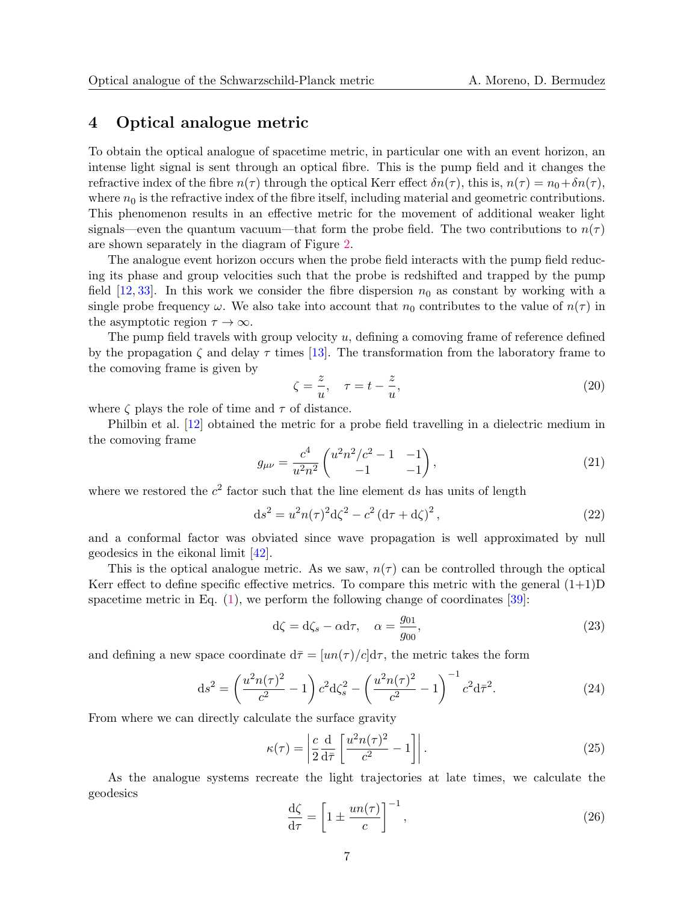### <span id="page-6-0"></span>4 Optical analogue metric

To obtain the optical analogue of spacetime metric, in particular one with an event horizon, an intense light signal is sent through an optical fibre. This is the pump field and it changes the refractive index of the fibre  $n(\tau)$  through the optical Kerr effect  $\delta n(\tau)$ , this is,  $n(\tau) = n_0 + \delta n(\tau)$ , where  $n_0$  is the refractive index of the fibre itself, including material and geometric contributions. This phenomenon results in an effective metric for the movement of additional weaker light signals—even the quantum vacuum—that form the probe field. The two contributions to  $n(\tau)$ are shown separately in the diagram of Figure [2.](#page-7-1)

The analogue event horizon occurs when the probe field interacts with the pump field reducing its phase and group velocities such that the probe is redshifted and trapped by the pump field [\[12,](#page-12-11) [33\]](#page-14-3). In this work we consider the fibre dispersion  $n_0$  as constant by working with a single probe frequency  $\omega$ . We also take into account that  $n_0$  contributes to the value of  $n(\tau)$  in the asymptotic region  $\tau \to \infty$ .

The pump field travels with group velocity  $u$ , defining a comoving frame of reference defined by the propagation  $\zeta$  and delay  $\tau$  times [\[13\]](#page-13-0). The transformation from the laboratory frame to the comoving frame is given by

$$
\zeta = \frac{z}{u}, \quad \tau = t - \frac{z}{u},\tag{20}
$$

where  $\zeta$  plays the role of time and  $\tau$  of distance.

Philbin et al. [\[12\]](#page-12-11) obtained the metric for a probe field travelling in a dielectric medium in the comoving frame

$$
g_{\mu\nu} = \frac{c^4}{u^2 n^2} \begin{pmatrix} u^2 n^2/c^2 - 1 & -1 \\ -1 & -1 \end{pmatrix},\tag{21}
$$

where we restored the  $c^2$  factor such that the line element ds has units of length

$$
ds^{2} = u^{2}n(\tau)^{2}d\zeta^{2} - c^{2}(d\tau + d\zeta)^{2},
$$
\n(22)

and a conformal factor was obviated since wave propagation is well approximated by null geodesics in the eikonal limit [\[42\]](#page-14-12).

This is the optical analogue metric. As we saw,  $n(\tau)$  can be controlled through the optical Kerr effect to define specific effective metrics. To compare this metric with the general  $(1+1)D$ spacetime metric in Eq.  $(1)$ , we perform the following change of coordinates [\[39\]](#page-14-9):

$$
d\zeta = d\zeta_s - \alpha d\tau, \quad \alpha = \frac{g_{01}}{g_{00}},\tag{23}
$$

and defining a new space coordinate  $d\bar{\tau} = [un(\tau)/c]d\tau$ , the metric takes the form

<span id="page-6-1"></span>
$$
ds^{2} = \left(\frac{u^{2}n(\tau)^{2}}{c^{2}} - 1\right)c^{2}d\zeta_{s}^{2} - \left(\frac{u^{2}n(\tau)^{2}}{c^{2}} - 1\right)^{-1}c^{2}d\bar{\tau}^{2}.
$$
 (24)

From where we can directly calculate the surface gravity

<span id="page-6-2"></span>
$$
\kappa(\tau) = \left| \frac{c}{2} \frac{d}{d\bar{\tau}} \left[ \frac{u^2 n(\tau)^2}{c^2} - 1 \right] \right|.
$$
\n(25)

As the analogue systems recreate the light trajectories at late times, we calculate the geodesics

<span id="page-6-3"></span>
$$
\frac{\mathrm{d}\zeta}{\mathrm{d}\tau} = \left[1 \pm \frac{un(\tau)}{c}\right]^{-1},\tag{26}
$$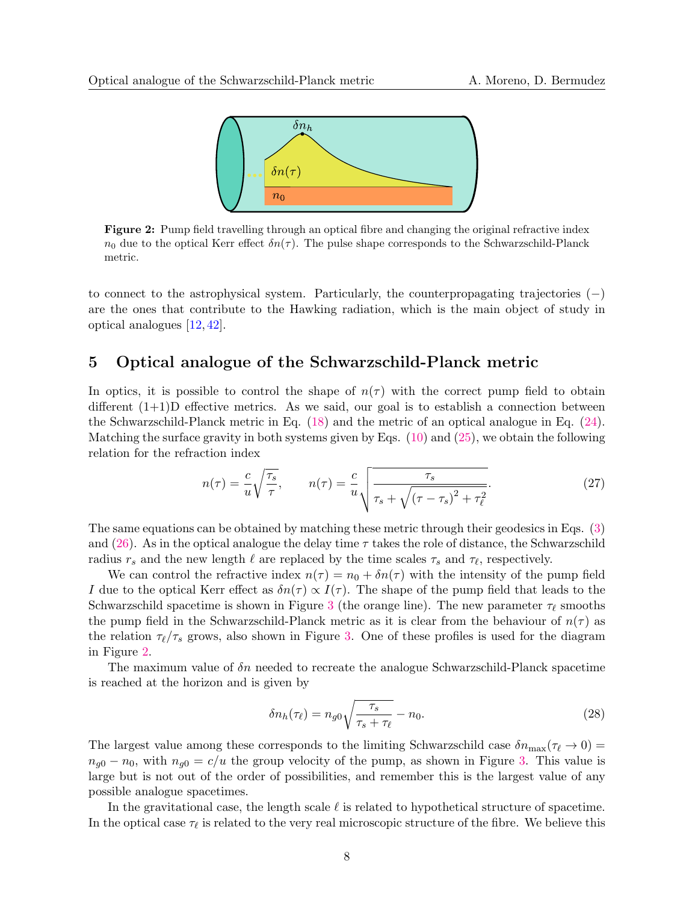<span id="page-7-1"></span>

Figure 2: Pump field travelling through an optical fibre and changing the original refractive index  $n_0$  due to the optical Kerr effect  $\delta n(\tau)$ . The pulse shape corresponds to the Schwarzschild-Planck metric.

to connect to the astrophysical system. Particularly, the counterpropagating trajectories  $(-)$ are the ones that contribute to the Hawking radiation, which is the main object of study in optical analogues [\[12,](#page-12-11) [42\]](#page-14-12).

### <span id="page-7-0"></span>5 Optical analogue of the Schwarzschild-Planck metric

In optics, it is possible to control the shape of  $n(\tau)$  with the correct pump field to obtain different  $(1+1)D$  effective metrics. As we said, our goal is to establish a connection between the Schwarzschild-Planck metric in Eq. [\(18\)](#page-5-1) and the metric of an optical analogue in Eq. [\(24\)](#page-6-1). Matching the surface gravity in both systems given by Eqs.  $(10)$  and  $(25)$ , we obtain the following relation for the refraction index

$$
n(\tau) = \frac{c}{u} \sqrt{\frac{\tau_s}{\tau}}, \qquad n(\tau) = \frac{c}{u} \sqrt{\frac{\tau_s}{\tau_s + \sqrt{(\tau - \tau_s)^2 + \tau_\ell^2}}}.
$$
\n(27)

The same equations can be obtained by matching these metric through their geodesics in Eqs. [\(3\)](#page-2-2) and [\(26\)](#page-6-3). As in the optical analogue the delay time  $\tau$  takes the role of distance, the Schwarzschild radius  $r_s$  and the new length  $\ell$  are replaced by the time scales  $\tau_s$  and  $\tau_{\ell}$ , respectively.

We can control the refractive index  $n(\tau) = n_0 + \delta n(\tau)$  with the intensity of the pump field I due to the optical Kerr effect as  $\delta n(\tau) \propto I(\tau)$ . The shape of the pump field that leads to the Schwarzschild spacetime is shown in Figure [3](#page-8-1) (the orange line). The new parameter  $\tau_{\ell}$  smooths the pump field in the Schwarzschild-Planck metric as it is clear from the behaviour of  $n(\tau)$  as the relation  $\tau_{\ell}/\tau_s$  grows, also shown in Figure [3.](#page-8-1) One of these profiles is used for the diagram in Figure [2.](#page-7-1)

The maximum value of  $\delta n$  needed to recreate the analogue Schwarzschild-Planck spacetime is reached at the horizon and is given by

$$
\delta n_h(\tau_\ell) = n_{g0} \sqrt{\frac{\tau_s}{\tau_s + \tau_\ell}} - n_0. \tag{28}
$$

The largest value among these corresponds to the limiting Schwarzschild case  $\delta n_{\text{max}}(\tau_\ell \to 0)$  =  $n_{g0} - n_0$ , with  $n_{g0} = c/u$  the group velocity of the pump, as shown in Figure [3.](#page-8-1) This value is large but is not out of the order of possibilities, and remember this is the largest value of any possible analogue spacetimes.

In the gravitational case, the length scale  $\ell$  is related to hypothetical structure of spacetime. In the optical case  $\tau_{\ell}$  is related to the very real microscopic structure of the fibre. We believe this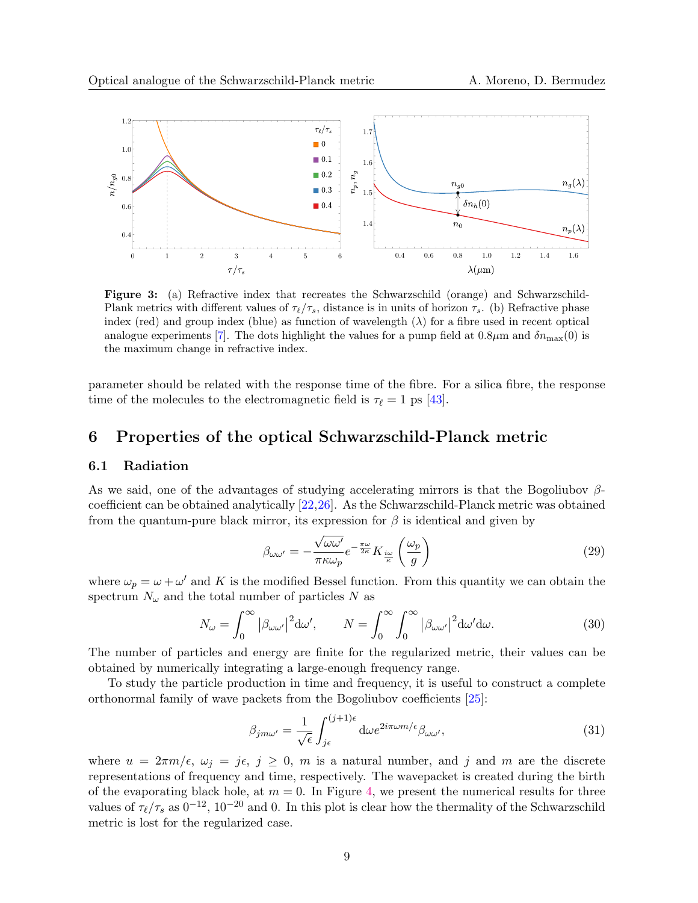<span id="page-8-1"></span>

Figure 3: (a) Refractive index that recreates the Schwarzschild (orange) and Schwarzschild-Plank metrics with different values of  $\tau_{\ell}/\tau_s$ , distance is in units of horizon  $\tau_s$ . (b) Refractive phase index (red) and group index (blue) as function of wavelength  $(\lambda)$  for a fibre used in recent optical analogue experiments [\[7\]](#page-12-6). The dots highlight the values for a pump field at  $0.8\mu$ m and  $\delta n_{\rm max}(0)$  is the maximum change in refractive index.

parameter should be related with the response time of the fibre. For a silica fibre, the response time of the molecules to the electromagnetic field is  $\tau_{\ell} = 1$  ps [\[43\]](#page-14-13).

### <span id="page-8-0"></span>6 Properties of the optical Schwarzschild-Planck metric

### 6.1 Radiation

As we said, one of the advantages of studying accelerating mirrors is that the Bogoliubov  $\beta$ coefficient can be obtained analytically [\[22,](#page-13-8)[26\]](#page-13-11). As the Schwarzschild-Planck metric was obtained from the quantum-pure black mirror, its expression for  $\beta$  is identical and given by

$$
\beta_{\omega\omega'} = -\frac{\sqrt{\omega\omega'}}{\pi\kappa\omega_p} e^{-\frac{\pi\omega}{2\kappa}} K_{\frac{i\omega}{\kappa}} \left(\frac{\omega_p}{g}\right)
$$
\n(29)

where  $\omega_p = \omega + \omega'$  and K is the modified Bessel function. From this quantity we can obtain the spectrum  $N_{\omega}$  and the total number of particles N as

$$
N_{\omega} = \int_0^{\infty} |\beta_{\omega\omega'}|^2 d\omega', \qquad N = \int_0^{\infty} \int_0^{\infty} |\beta_{\omega\omega'}|^2 d\omega' d\omega.
$$
 (30)

The number of particles and energy are finite for the regularized metric, their values can be obtained by numerically integrating a large-enough frequency range.

To study the particle production in time and frequency, it is useful to construct a complete orthonormal family of wave packets from the Bogoliubov coefficients [\[25\]](#page-13-15):

$$
\beta_{jm\omega'} = \frac{1}{\sqrt{\epsilon}} \int_{j\epsilon}^{(j+1)\epsilon} d\omega e^{2i\pi\omega m/\epsilon} \beta_{\omega\omega'}, \tag{31}
$$

where  $u = 2\pi m/\epsilon$ ,  $\omega_i = j\epsilon$ ,  $j \geq 0$ , m is a natural number, and j and m are the discrete representations of frequency and time, respectively. The wavepacket is created during the birth of the evaporating black hole, at  $m = 0$ . In Figure [4,](#page-9-0) we present the numerical results for three values of  $\tau_{\ell}/\tau_s$  as  $0^{-12}$ ,  $10^{-20}$  and 0. In this plot is clear how the thermality of the Schwarzschild metric is lost for the regularized case.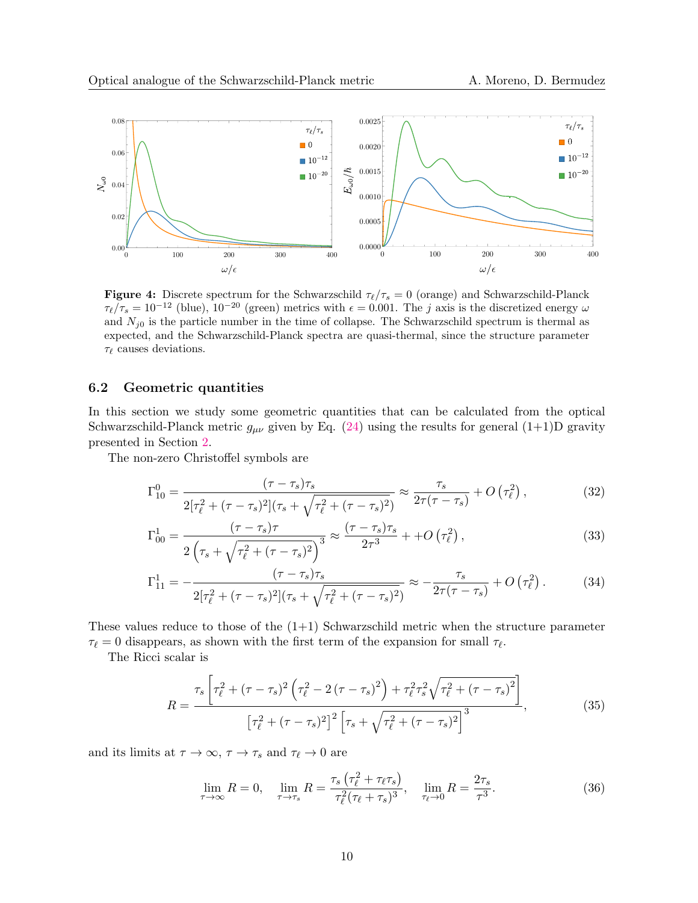<span id="page-9-0"></span>

**Figure 4:** Discrete spectrum for the Schwarzschild  $\tau_{\ell}/\tau_s = 0$  (orange) and Schwarzschild-Planck  $\tau_{\ell}/\tau_s = 10^{-12}$  (blue),  $10^{-20}$  (green) metrics with  $\epsilon = 0.001$ . The j axis is the discretized energy  $\omega$ and  $N_{j0}$  is the particle number in the time of collapse. The Schwarzschild spectrum is thermal as expected, and the Schwarzschild-Planck spectra are quasi-thermal, since the structure parameter  $\tau_{\ell}$  causes deviations.

#### 6.2 Geometric quantities

In this section we study some geometric quantities that can be calculated from the optical Schwarzschild-Planck metric  $g_{\mu\nu}$  given by Eq. [\(24\)](#page-6-1) using the results for general (1+1)D gravity presented in Section [2.](#page-1-0)

The non-zero Christoffel symbols are

$$
\Gamma_{10}^{0} = \frac{(\tau - \tau_s)\tau_s}{2[\tau_{\ell}^2 + (\tau - \tau_s)^2](\tau_s + \sqrt{\tau_{\ell}^2 + (\tau - \tau_s)^2})} \approx \frac{\tau_s}{2\tau(\tau - \tau_s)} + O\left(\tau_{\ell}^2\right),\tag{32}
$$

$$
\Gamma_{00}^{1} = \frac{(\tau - \tau_s)\tau}{2\left(\tau_s + \sqrt{\tau_\ell^2 + (\tau - \tau_s)^2}\right)^3} \approx \frac{(\tau - \tau_s)\tau_s}{2\tau^3} + +O\left(\tau_\ell^2\right),\tag{33}
$$

$$
\Gamma_{11}^{1} = -\frac{(\tau - \tau_{s})\tau_{s}}{2[\tau_{\ell}^{2} + (\tau - \tau_{s})^{2}](\tau_{s} + \sqrt{\tau_{\ell}^{2} + (\tau - \tau_{s})^{2}})} \approx -\frac{\tau_{s}}{2\tau(\tau - \tau_{s})} + O\left(\tau_{\ell}^{2}\right). \tag{34}
$$

These values reduce to those of the  $(1+1)$  Schwarzschild metric when the structure parameter  $\tau_{\ell} = 0$  disappears, as shown with the first term of the expansion for small  $\tau_{\ell}$ .

The Ricci scalar is

$$
R = \frac{\tau_s \left[ \tau_\ell^2 + (\tau - \tau_s)^2 \left( \tau_\ell^2 - 2 (\tau - \tau_s)^2 \right) + \tau_\ell^2 \tau_s^2 \sqrt{\tau_\ell^2 + (\tau - \tau_s)^2} \right]}{\left[ \tau_\ell^2 + (\tau - \tau_s)^2 \right]^2 \left[ \tau_s + \sqrt{\tau_\ell^2 + (\tau - \tau_s)^2} \right]^3},\tag{35}
$$

and its limits at  $\tau \to \infty$ ,  $\tau \to \tau_s$  and  $\tau_{\ell} \to 0$  are

$$
\lim_{\tau \to \infty} R = 0, \quad \lim_{\tau \to \tau_s} R = \frac{\tau_s \left(\tau_\ell^2 + \tau_\ell \tau_s\right)}{\tau_\ell^2 (\tau_\ell + \tau_s)^3}, \quad \lim_{\tau_\ell \to 0} R = \frac{2\tau_s}{\tau^3}.
$$
\n
$$
(36)
$$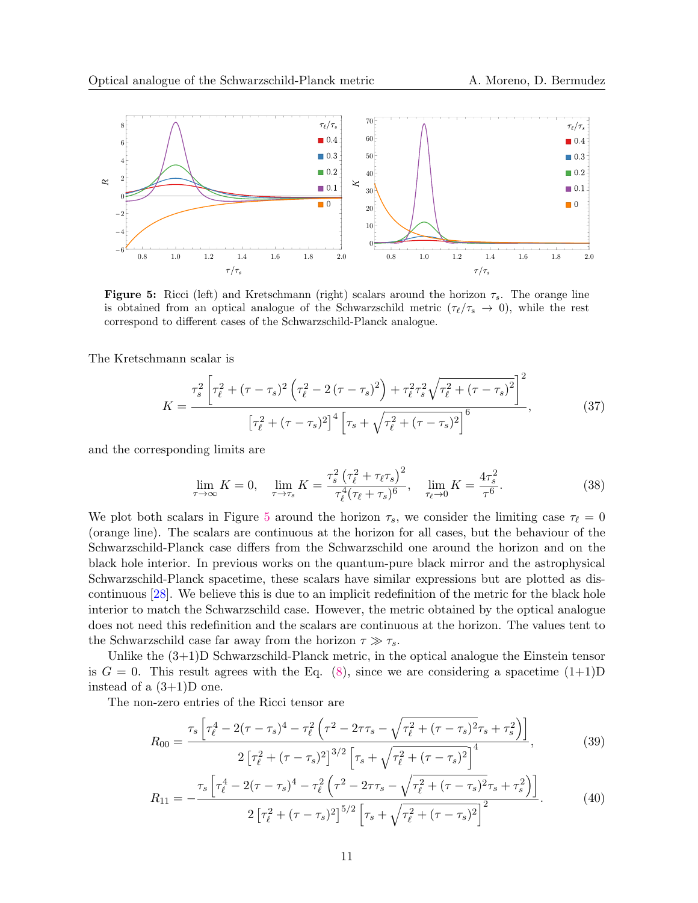<span id="page-10-0"></span>

**Figure 5:** Ricci (left) and Kretschmann (right) scalars around the horizon  $\tau_s$ . The orange line is obtained from an optical analogue of the Schwarzschild metric  $(\tau_{\ell}/\tau_{s} \rightarrow 0)$ , while the rest correspond to different cases of the Schwarzschild-Planck analogue.

The Kretschmann scalar is

$$
K = \frac{\tau_s^2 \left[ \tau_\ell^2 + (\tau - \tau_s)^2 \left( \tau_\ell^2 - 2 (\tau - \tau_s)^2 \right) + \tau_\ell^2 \tau_s^2 \sqrt{\tau_\ell^2 + (\tau - \tau_s)^2} \right]^2}{\left[ \tau_\ell^2 + (\tau - \tau_s)^2 \right]^4 \left[ \tau_s + \sqrt{\tau_\ell^2 + (\tau - \tau_s)^2} \right]^6},\tag{37}
$$

and the corresponding limits are

$$
\lim_{\tau \to \infty} K = 0, \quad \lim_{\tau \to \tau_s} K = \frac{\tau_s^2 \left(\tau_\ell^2 + \tau_\ell \tau_s\right)^2}{\tau_\ell^4 (\tau_\ell + \tau_s)^6}, \quad \lim_{\tau_\ell \to 0} K = \frac{4\tau_s^2}{\tau^6}.
$$
\n(38)

We plot both scalars in Figure [5](#page-10-0) around the horizon  $\tau_s$ , we consider the limiting case  $\tau_\ell = 0$ (orange line). The scalars are continuous at the horizon for all cases, but the behaviour of the Schwarzschild-Planck case differs from the Schwarzschild one around the horizon and on the black hole interior. In previous works on the quantum-pure black mirror and the astrophysical Schwarzschild-Planck spacetime, these scalars have similar expressions but are plotted as discontinuous [\[28\]](#page-13-13). We believe this is due to an implicit redefinition of the metric for the black hole interior to match the Schwarzschild case. However, the metric obtained by the optical analogue does not need this redefinition and the scalars are continuous at the horizon. The values tent to the Schwarzschild case far away from the horizon  $\tau \gg \tau_s$ .

Unlike the (3+1)D Schwarzschild-Planck metric, in the optical analogue the Einstein tensor is  $G = 0$ . This result agrees with the Eq. [\(8\)](#page-3-3), since we are considering a spacetime  $(1+1)D$ instead of a  $(3+1)D$  one.

The non-zero entries of the Ricci tensor are

$$
R_{00} = \frac{\tau_s \left[ \tau_\ell^4 - 2(\tau - \tau_s)^4 - \tau_\ell^2 \left( \tau^2 - 2\tau\tau_s - \sqrt{\tau_\ell^2 + (\tau - \tau_s)^2} \tau_s + \tau_s^2 \right) \right]}{2 \left[ \tau_\ell^2 + (\tau - \tau_s)^2 \right]^{3/2} \left[ \tau_s + \sqrt{\tau_\ell^2 + (\tau - \tau_s)^2} \right]^4},\tag{39}
$$

$$
R_{11} = -\frac{\tau_s \left[ \tau_\ell^4 - 2(\tau - \tau_s)^4 - \tau_\ell^2 \left( \tau^2 - 2\tau \tau_s - \sqrt{\tau_\ell^2 + (\tau - \tau_s)^2} \tau_s + \tau_s^2 \right) \right]}{2 \left[ \tau_\ell^2 + (\tau - \tau_s)^2 \right]^{5/2} \left[ \tau_s + \sqrt{\tau_\ell^2 + (\tau - \tau_s)^2} \right]^2}.
$$
(40)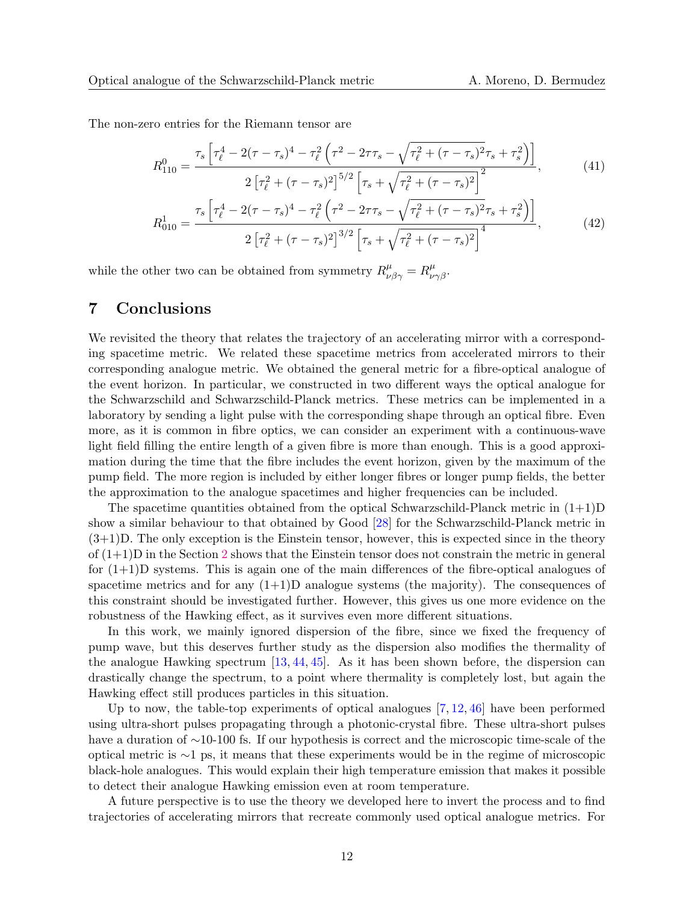The non-zero entries for the Riemann tensor are

$$
R_{110}^{0} = \frac{\tau_s \left[ \tau_\ell^4 - 2(\tau - \tau_s)^4 - \tau_\ell^2 \left( \tau^2 - 2\tau \tau_s - \sqrt{\tau_\ell^2 + (\tau - \tau_s)^2} \tau_s + \tau_s^2 \right) \right]}{2 \left[ \tau_\ell^2 + (\tau - \tau_s)^2 \right]^{5/2} \left[ \tau_s + \sqrt{\tau_\ell^2 + (\tau - \tau_s)^2} \right]^2},\tag{41}
$$

$$
R_{010}^1 = \frac{\tau_s \left[ \tau_\ell^4 - 2(\tau - \tau_s)^4 - \tau_\ell^2 \left( \tau^2 - 2\tau \tau_s - \sqrt{\tau_\ell^2 + (\tau - \tau_s)^2} \tau_s + \tau_s^2 \right) \right]}{2 \left[ \tau_\ell^2 + (\tau - \tau_s)^2 \right]^{3/2} \left[ \tau_s + \sqrt{\tau_\ell^2 + (\tau - \tau_s)^2} \right]^4},\tag{42}
$$

while the other two can be obtained from symmetry  $R^{\mu}_{\nu\beta\gamma} = R^{\mu}_{\nu\gamma\beta}$ .

### <span id="page-11-0"></span>7 Conclusions

We revisited the theory that relates the trajectory of an accelerating mirror with a corresponding spacetime metric. We related these spacetime metrics from accelerated mirrors to their corresponding analogue metric. We obtained the general metric for a fibre-optical analogue of the event horizon. In particular, we constructed in two different ways the optical analogue for the Schwarzschild and Schwarzschild-Planck metrics. These metrics can be implemented in a laboratory by sending a light pulse with the corresponding shape through an optical fibre. Even more, as it is common in fibre optics, we can consider an experiment with a continuous-wave light field filling the entire length of a given fibre is more than enough. This is a good approximation during the time that the fibre includes the event horizon, given by the maximum of the pump field. The more region is included by either longer fibres or longer pump fields, the better the approximation to the analogue spacetimes and higher frequencies can be included.

The spacetime quantities obtained from the optical Schwarzschild-Planck metric in  $(1+1)D$ show a similar behaviour to that obtained by Good [\[28\]](#page-13-13) for the Schwarzschild-Planck metric in  $(3+1)D$ . The only exception is the Einstein tensor, however, this is expected since in the theory of  $(1+1)$ D in the Section [2](#page-1-0) shows that the Einstein tensor does not constrain the metric in general for  $(1+1)$ D systems. This is again one of the main differences of the fibre-optical analogues of spacetime metrics and for any  $(1+1)$ D analogue systems (the majority). The consequences of this constraint should be investigated further. However, this gives us one more evidence on the robustness of the Hawking effect, as it survives even more different situations.

In this work, we mainly ignored dispersion of the fibre, since we fixed the frequency of pump wave, but this deserves further study as the dispersion also modifies the thermality of the analogue Hawking spectrum  $[13, 44, 45]$  $[13, 44, 45]$  $[13, 44, 45]$  $[13, 44, 45]$ . As it has been shown before, the dispersion can drastically change the spectrum, to a point where thermality is completely lost, but again the Hawking effect still produces particles in this situation.

Up to now, the table-top experiments of optical analogues [\[7,](#page-12-6) [12,](#page-12-11) [46\]](#page-14-16) have been performed using ultra-short pulses propagating through a photonic-crystal fibre. These ultra-short pulses have a duration of ∼10-100 fs. If our hypothesis is correct and the microscopic time-scale of the optical metric is ∼1 ps, it means that these experiments would be in the regime of microscopic black-hole analogues. This would explain their high temperature emission that makes it possible to detect their analogue Hawking emission even at room temperature.

A future perspective is to use the theory we developed here to invert the process and to find trajectories of accelerating mirrors that recreate commonly used optical analogue metrics. For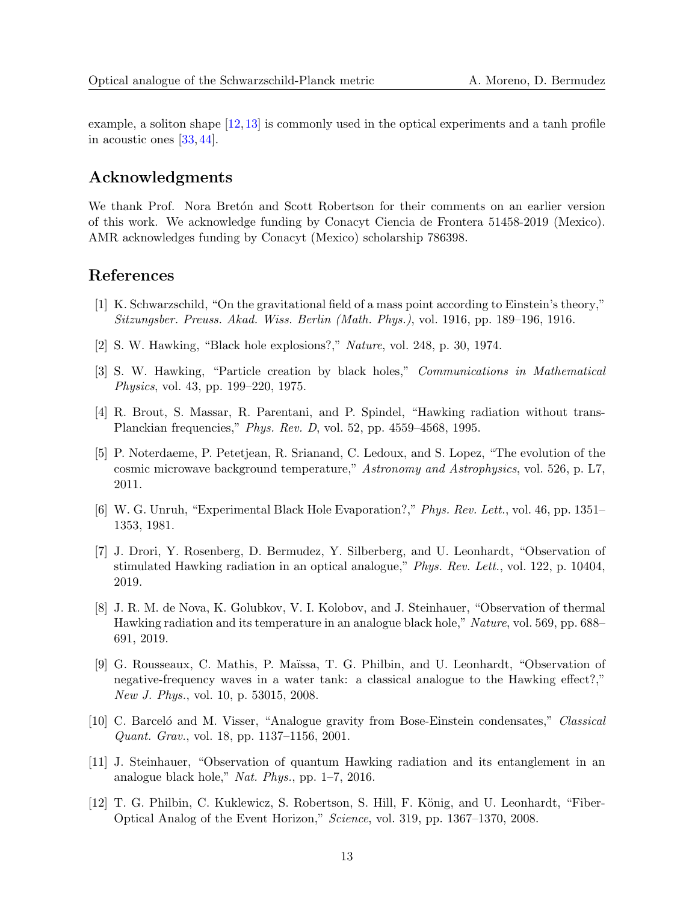example, a soliton shape [\[12,](#page-12-11)[13\]](#page-13-0) is commonly used in the optical experiments and a tanh profile in acoustic ones [\[33,](#page-14-3) [44\]](#page-14-14).

### Acknowledgments

We thank Prof. Nora Bretón and Scott Robertson for their comments on an earlier version of this work. We acknowledge funding by Conacyt Ciencia de Frontera 51458-2019 (Mexico). AMR acknowledges funding by Conacyt (Mexico) scholarship 786398.

### References

- <span id="page-12-0"></span>[1] K. Schwarzschild, "On the gravitational field of a mass point according to Einstein's theory," Sitzungsber. Preuss. Akad. Wiss. Berlin (Math. Phys.), vol. 1916, pp. 189–196, 1916.
- <span id="page-12-1"></span>[2] S. W. Hawking, "Black hole explosions?," Nature, vol. 248, p. 30, 1974.
- <span id="page-12-2"></span>[3] S. W. Hawking, "Particle creation by black holes," Communications in Mathematical Physics, vol. 43, pp. 199–220, 1975.
- <span id="page-12-3"></span>[4] R. Brout, S. Massar, R. Parentani, and P. Spindel, "Hawking radiation without trans-Planckian frequencies," Phys. Rev. D, vol. 52, pp. 4559–4568, 1995.
- <span id="page-12-4"></span>[5] P. Noterdaeme, P. Petetjean, R. Srianand, C. Ledoux, and S. Lopez, "The evolution of the cosmic microwave background temperature," Astronomy and Astrophysics, vol. 526, p. L7, 2011.
- <span id="page-12-5"></span>[6] W. G. Unruh, "Experimental Black Hole Evaporation?," Phys. Rev. Lett., vol. 46, pp. 1351– 1353, 1981.
- <span id="page-12-6"></span>[7] J. Drori, Y. Rosenberg, D. Bermudez, Y. Silberberg, and U. Leonhardt, "Observation of stimulated Hawking radiation in an optical analogue," Phys. Rev. Lett., vol. 122, p. 10404, 2019.
- <span id="page-12-7"></span>[8] J. R. M. de Nova, K. Golubkov, V. I. Kolobov, and J. Steinhauer, "Observation of thermal Hawking radiation and its temperature in an analogue black hole," Nature, vol. 569, pp. 688– 691, 2019.
- <span id="page-12-8"></span>[9] G. Rousseaux, C. Mathis, P. Maïssa, T. G. Philbin, and U. Leonhardt, "Observation of negative-frequency waves in a water tank: a classical analogue to the Hawking effect?," New J. Phys., vol. 10, p. 53015, 2008.
- <span id="page-12-9"></span>[10] C. Barceló and M. Visser, "Analogue gravity from Bose-Einstein condensates," Classical Quant. Grav., vol. 18, pp. 1137–1156, 2001.
- <span id="page-12-10"></span>[11] J. Steinhauer, "Observation of quantum Hawking radiation and its entanglement in an analogue black hole," Nat. Phys., pp. 1–7, 2016.
- <span id="page-12-11"></span>[12] T. G. Philbin, C. Kuklewicz, S. Robertson, S. Hill, F. König, and U. Leonhardt, "Fiber-Optical Analog of the Event Horizon," Science, vol. 319, pp. 1367–1370, 2008.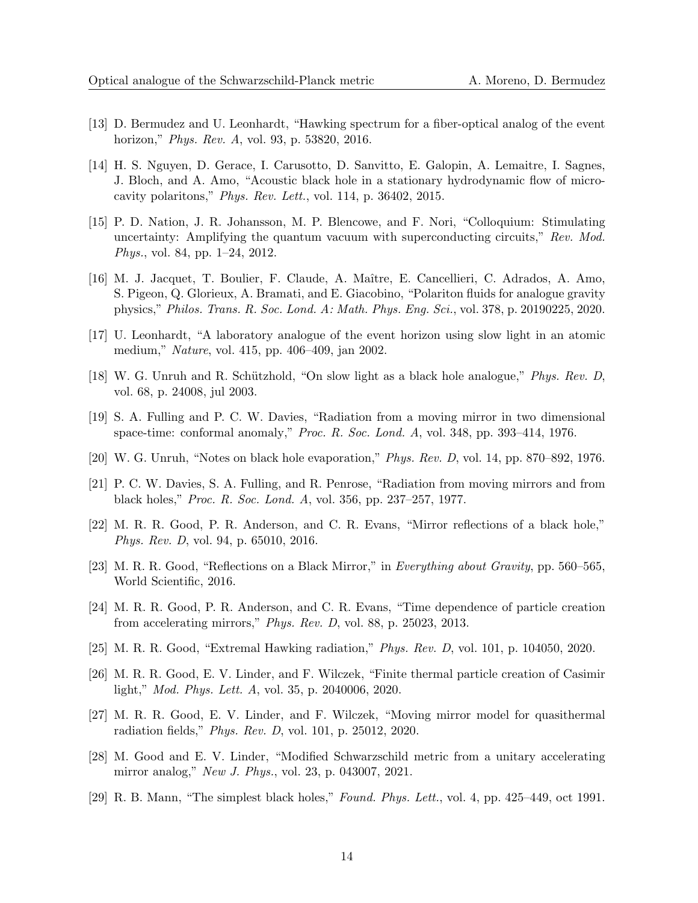- <span id="page-13-0"></span>[13] D. Bermudez and U. Leonhardt, "Hawking spectrum for a fiber-optical analog of the event horizon," Phys. Rev. A, vol. 93, p. 53820, 2016.
- <span id="page-13-1"></span>[14] H. S. Nguyen, D. Gerace, I. Carusotto, D. Sanvitto, E. Galopin, A. Lemaitre, I. Sagnes, J. Bloch, and A. Amo, "Acoustic black hole in a stationary hydrodynamic flow of microcavity polaritons," Phys. Rev. Lett., vol. 114, p. 36402, 2015.
- <span id="page-13-2"></span>[15] P. D. Nation, J. R. Johansson, M. P. Blencowe, and F. Nori, "Colloquium: Stimulating uncertainty: Amplifying the quantum vacuum with superconducting circuits," Rev. Mod. Phys., vol. 84, pp. 1–24, 2012.
- <span id="page-13-3"></span>[16] M. J. Jacquet, T. Boulier, F. Claude, A. Maˆıtre, E. Cancellieri, C. Adrados, A. Amo, S. Pigeon, Q. Glorieux, A. Bramati, and E. Giacobino, "Polariton fluids for analogue gravity physics," Philos. Trans. R. Soc. Lond. A: Math. Phys. Eng. Sci., vol. 378, p. 20190225, 2020.
- <span id="page-13-4"></span>[17] U. Leonhardt, "A laboratory analogue of the event horizon using slow light in an atomic medium," Nature, vol. 415, pp. 406–409, jan 2002.
- <span id="page-13-5"></span>[18] W. G. Unruh and R. Schützhold, "On slow light as a black hole analogue," *Phys. Rev. D*, vol. 68, p. 24008, jul 2003.
- <span id="page-13-6"></span>[19] S. A. Fulling and P. C. W. Davies, "Radiation from a moving mirror in two dimensional space-time: conformal anomaly," Proc. R. Soc. Lond. A, vol. 348, pp. 393–414, 1976.
- [20] W. G. Unruh, "Notes on black hole evaporation," Phys. Rev. D, vol. 14, pp. 870–892, 1976.
- <span id="page-13-7"></span>[21] P. C. W. Davies, S. A. Fulling, and R. Penrose, "Radiation from moving mirrors and from black holes," Proc. R. Soc. Lond. A, vol. 356, pp. 237–257, 1977.
- <span id="page-13-8"></span>[22] M. R. R. Good, P. R. Anderson, and C. R. Evans, "Mirror reflections of a black hole," Phys. Rev. D, vol. 94, p. 65010, 2016.
- <span id="page-13-9"></span>[23] M. R. R. Good, "Reflections on a Black Mirror," in Everything about Gravity, pp. 560–565, World Scientific, 2016.
- <span id="page-13-10"></span>[24] M. R. R. Good, P. R. Anderson, and C. R. Evans, "Time dependence of particle creation from accelerating mirrors," Phys. Rev. D, vol. 88, p. 25023, 2013.
- <span id="page-13-15"></span>[25] M. R. R. Good, "Extremal Hawking radiation," Phys. Rev. D, vol. 101, p. 104050, 2020.
- <span id="page-13-11"></span>[26] M. R. R. Good, E. V. Linder, and F. Wilczek, "Finite thermal particle creation of Casimir light," Mod. Phys. Lett. A, vol. 35, p. 2040006, 2020.
- <span id="page-13-12"></span>[27] M. R. R. Good, E. V. Linder, and F. Wilczek, "Moving mirror model for quasithermal radiation fields," Phys. Rev. D, vol. 101, p. 25012, 2020.
- <span id="page-13-13"></span>[28] M. Good and E. V. Linder, "Modified Schwarzschild metric from a unitary accelerating mirror analog," New J. Phys., vol. 23, p. 043007, 2021.
- <span id="page-13-14"></span>[29] R. B. Mann, "The simplest black holes," Found. Phys. Lett., vol. 4, pp. 425–449, oct 1991.